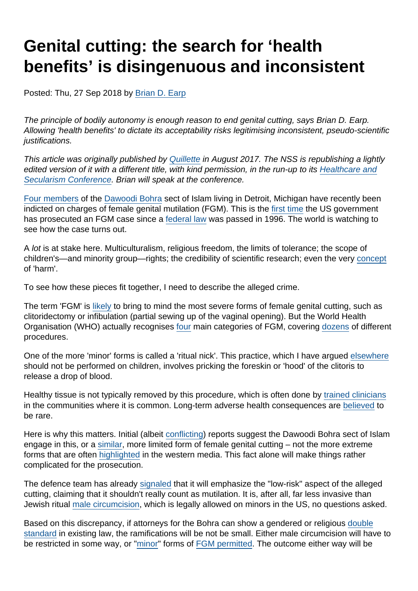# Genital cutting: the search for 'health benefits' is disingenuous and inconsistent

Posted: Thu, 27 Sep 2018 by [Brian D. Earp](https://www.secularism.org.uk/opinion/authors/892)

The principle of bodily autonomy is enough reason to end genital cutting, says Brian D. Earp. Allowing 'health benefits' to dictate its acceptability risks legitimising inconsistent, pseudo-scientific justifications.

This article was originally published by [Quillette](http://quillette.com/2017/08/15/female-genital-mutilation-health-benefits-problem-medicalizing-morality) in August 2017. The NSS is republishing a lightly edited version of it with a different title, with kind permission, in the run-up to its [Healthcare and](https://www.secularism.org.uk/healthcare-and-secularism-confer.html) [Secularism Conference.](https://www.secularism.org.uk/healthcare-and-secularism-confer.html) Brian will speak at the conference.

[Four members](http://www.detroitnews.com/story/news/local/oakland-county/2017/06/14/fourth-person-charged-female-genital-mutilation/102853062/) of the [Dawoodi Bohra](https://en.wikipedia.org/wiki/Dawoodi_Bohra) sect of Islam living in Detroit, Michigan have recently been indicted on charges of female genital mutilation (FGM). This is the [first time](https://www.washingtonpost.com/national/first-federal-case-under-female-genital-mutilation-ban-spurs-efforts-to-stiffen-penalties/2017/05/25/5b29d0de-39a9-11e7-a058-ddbb23c75d82_story.html?utm_term=.46fa0658d78f) the US government has prosecuted an FGM case since a [federal law](https://www.law.cornell.edu/uscode/text/18/116) was passed in 1996. The world is watching to see how the case turns out.

A lot is at stake here. Multiculturalism, religious freedom, the limits of tolerance; the scope of children's—and minority group—rights; the credibility of scientific research; even the very [concept](https://papers.ssrn.com/sol3/papers.cfm?abstract_id=2986449) of 'harm'.

To see how these pieces fit together, I need to describe the alleged crime.

The term 'FGM' is [likely](https://philpapers.org/rec/EARFGM) to bring to mind the most severe forms of female genital cutting, such as clitoridectomy or infibulation (partial sewing up of the vaginal opening). But the World Health Organisation (WHO) actually recognises [four](http://www.who.int/reproductivehealth/topics/fgm/overview/en/) main categories of FGM, covering [dozens](https://www.academia.edu/10197867/Between_moral_relativism_and_moral_hypocrisy_reframing_the_debate_on_FGM_) of different procedures.

One of the more 'minor' forms is called a 'ritual nick'. This practice, which I have argued [elsewhere](https://www.researchgate.net/publication/285578712_In_defence_of_genital_autonomy_for_children) should not be performed on children, involves pricking the foreskin or 'hood' of the clitoris to release a drop of blood.

Healthy tissue is not typically removed by this procedure, which is often done by [trained clinicians](http://ispub.com/IJTWM/9/1/5621) in the communities where it is common. Long-term adverse health consequences are [believed](http://jme.bmj.com/content/early/2016/02/21/medethics-2014-102375) to be rare.

Here is why this matters. Initial (albeit [conflicting](https://www.usatoday.com/story/news/nation-now/2017/08/10/genital-cutting-defense-demands-photo-proof/555023001/)) reports suggest the Dawoodi Bohra sect of Islam engage in this, or a [similar](http://www.motherjones.com/politics/2017/04/genital-cutting-indian-doctor-women-khatna/), more limited form of female genital cutting – not the more extreme forms that are often [highlighted](https://www.sfog.se/media/295486/omskarelse_rapport.pdf) in the western media. This fact alone will make things rather complicated for the prosecution.

The defence team has already [signaled](http://www.freep.com/story/news/2017/05/21/female-genital-mutilation-religious-freedom/319911001/) that it will emphasize the "low-risk" aspect of the alleged cutting, claiming that it shouldn't really count as mutilation. It is, after all, far less invasive than Jewish ritual [male circumcision,](http://www.cirp.org/library/anatomy/taylor/) which is legally allowed on minors in the US, no questions asked.

Based on this discrepancy, if attorneys for the Bohra can show a gendered or religious [double](https://www.researchgate.net/publication/316505694_Reason_and_paradox_in_medical_and_family_law_Shaping_children) [standard](https://www.researchgate.net/publication/316505694_Reason_and_paradox_in_medical_and_family_law_Shaping_children) in existing law, the ramifications will be not be small. Either male circumcision will have to be restricted in some way, or "[minor"](http://blogs.bmj.com/medical-ethics/2016/02/25/should-doctors-perform-minor-forms-of-female-genital-mutilation-fgm-as-a-compromise-procedure-to-respect-culture/) forms of [FGM permitted](https://www.researchgate.net/publication/285578712_In_defence_of_genital_autonomy_for_children). The outcome either way will be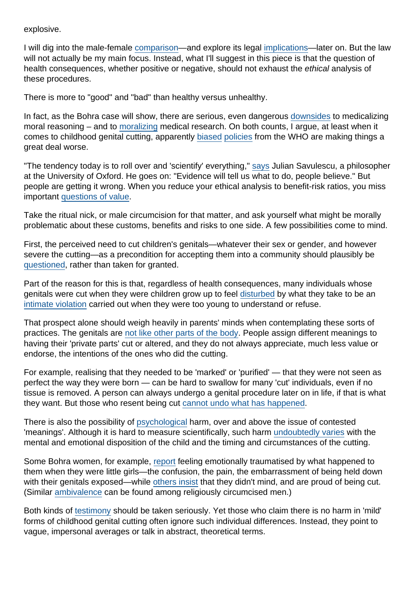#### explosive.

I will dig into the male-female [comparison](https://www.dovepress.com/female-genital-mutilation-and-male-circumcision-toward-an-autonomy-bas-peer-reviewed-article-MB)—and explore its legal [implications—](https://www.researchgate.net/publication/316505694_Reason_and_paradox_in_medical_and_family_law_Shaping_children)later on. But the law will not actually be my main focus. Instead, what I'll suggest in this piece is that the question of health consequences, whether positive or negative, should not exhaust the ethical analysis of these procedures.

There is more to "good" and "bad" than healthy versus unhealthy.

In fact, as the Bohra case will show, there are serious, even dangerous [downsides](http://heinonline.org/HOL/LandingPage?handle=hein.journals/nyuls5&div=12&id=&page=) to medicalizing moral reasoning – and to [moralizing](http://onlinelibrary.wiley.com/doi/10.1525/maq.2003.17.3.394/abstract) medical research. On both counts, I argue, at least when it comes to childhood genital cutting, apparently [biased](http://onlinelibrary.wiley.com/doi/10.1111/j.1548-1360.2012.01174.x/abstract) [policies](https://www.ncbi.nlm.nih.gov/pubmed/25646671) from the WHO are making things a great deal worse.

"The tendency today is to roll over and 'scientify' everything," [says](https://pdfs.semanticscholar.org/dcf0/1895d9ea02fa40752f25cc9f122a2d4e6b01.pdf) Julian Savulescu, a philosopher at the University of Oxford. He goes on: "Evidence will tell us what to do, people believe." But people are getting it wrong. When you reduce your ethical analysis to benefit-risk ratios, you miss important [questions of value](http://pennjil.com/brian-earp-robert-darby-circumcision-sexual-experience-and-harm-reply-to-stephen-r-munzers-secularization-anti-minority-sentiment-and-cultural-norms-in-the-german-circumcision-cont/).

Take the ritual nick, or male circumcision for that matter, and ask yourself what might be morally problematic about these customs, benefits and risks to one side. A few possibilities come to mind.

First, the perceived need to cut children's genitals—whatever their sex or gender, and however severe the cutting—as a precondition for accepting them into a community should plausibly be [questioned,](http://www.cirp.org/library/cultural/goodman1999/) rather than taken for granted.

Part of the reason for this is that, regardless of health consequences, many individuals whose genitals were cut when they were children grow up to feel [disturbed](https://www.researchgate.net/publication/316527677_Gender_and_genital_cutting_A_new_paradigm?_iepl[viewId]=33IzCjIZRUGs6OInz7gcREK1&_iepl[profilePublicationItemVariant]=default&_iepl[contexts][0]=prfpi&_iepl[targetEntityId]=PB%) by what they take to be an [intimate violation](http://www.motherjones.com/politics/2017/04/genital-cutting-indian-doctor-women-khatna/) carried out when they were too young to understand or refuse.

That prospect alone should weigh heavily in parents' minds when contemplating these sorts of practices. The genitals are [not like other parts of the body](http://www.arclaw.org/sites/default/files/earp.pdf). People assign different meanings to having their 'private parts' cut or altered, and they do not always appreciate, much less value or endorse, the intentions of the ones who did the cutting.

For example, realising that they needed to be 'marked' or 'purified' — that they were not seen as perfect the way they were born — can be hard to swallow for many 'cut' individuals, even if no tissue is removed. A person can always undergo a genital procedure later on in life, if that is what they want. But those who resent being cut [cannot undo what has happened](https://papers.ssrn.com/sol3/papers.cfm?abstract_id=2986449).

There is also the possibility of [psychological](http://ajp.psychiatryonline.org/doi/abs/10.1176/appi.ajp.162.5.1000) harm, over and above the issue of contested 'meanings'. Although it is hard to measure scientifically, such harm [undoubtedly varies](http://journals.sagepub.com/doi/abs/10.1177/135910530200700310) with the mental and emotional disposition of the child and the timing and circumstances of the cutting.

Some Bohra women, for example, [report](http://www.motherjones.com/politics/2017/04/genital-cutting-indian-doctor-women-khatna/) feeling emotionally traumatised by what happened to them when they were little girls—the confusion, the pain, the embarrassment of being held down with their genitals exposed—while [others insist](https://dbwrf.org/DB/about) that they didn't mind, and are proud of being cut. (Similar [ambivalence](http://www.haaretz.com/israel-news/even-in-israel-more-and-more-parents-choose-not-to-circumcise-their-sons-1.436421) can be found among religiously circumcised men.)

Both kinds of [testimony](http://www.girleffect.org/what-girls-need/articles/2015/02/the-invisible-scars-of-fgm/) should be taken seriously. Yet those who claim there is no harm in 'mild' forms of childhood genital cutting often ignore such individual differences. Instead, they point to vague, impersonal averages or talk in abstract, theoretical terms.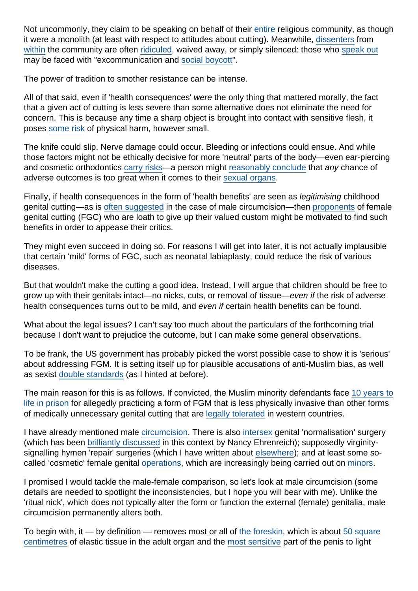Not uncommonly, they claim to be speaking on behalf of their [entire](http://blog.practicalethics.ox.ac.uk/2012/06/religion-is-no-excuse-for-mutilating-your-babys-penis/) religious community, as though it were a monolith (at least with respect to attitudes about cutting). Meanwhile, [dissenters](https://mobile.nytimes.com/2017/07/25/well/family/cutting-out-the-bris.html) from [within](http://www.hindustantimes.com/mumbai-news/female-genital-mutilation-debate-puts-bohra-women-on-opposite-sides/story-jx9r4R6CXFqFMIgsWDBASO.html) the community are often [ridiculed,](http://www.slate.com/articles/health_and_science/medical_examiner/2013/09/intactivists_online_a_fringe_group_turned_the_internet_against_circumcision.html) waived away, or simply silenced: those who [speak out](http://www.motherjones.com/politics/2017/04/genital-cutting-indian-doctor-women-khatna/) may be faced with "excommunication and [social boycott](http://timesofindia.indiatimes.com/city/hyderabad/Social-boycott-the-sad-reality-for-reformist-Bohras/articleshow/50147331.cms)".

The power of tradition to smother resistance can be intense.

All of that said, even if 'health consequences' were the only thing that mattered morally, the fact that a given act of cutting is less severe than some alternative does not eliminate the need for concern. This is because any time a sharp object is brought into contact with sensitive flesh, it poses [some risk](https://www.researchgate.net/publication/285578712_In_defence_of_genital_autonomy_for_children?_iepl[viewId]=tzvBwACIvp4svD7rYEE9QNgs&_iepl[profilePublicationItemVariant]=default&_iepl[contexts][0]=prfpi&_iepl[targetEntityId]=P) of physical harm, however small.

The knife could slip. Nerve damage could occur. Bleeding or infections could ensue. And while those factors might not be ethically decisive for more 'neutral' parts of the body—even ear-piercing and cosmetic orthodontics [carry risks](http://blog.practicalethics.ox.ac.uk/2012/08/the-aap-report-on-circumcision-bad-science-bad-ethics-bad-medicine/)—a person might [reasonably conclude](https://www.researchgate.net/publication/315763686_Circumcision_sexual_experience_and_harm) that any chance of adverse outcomes is too great when it comes to their [sexual organs.](http://www.arclaw.org/sites/default/files/earp.pdf)

Finally, if health consequences in the form of 'health benefits' are seen as legitimising childhood genital cutting—as is [often suggested](https://www.researchgate.net/publication/269899744_Does_science_support_infant_circumcision) in the case of male circumcision—then [proponents](https://dbwrf.org/) of female genital cutting (FGC) who are loath to give up their valued custom might be motivated to find such benefits in order to appease their critics.

They might even succeed in doing so. For reasons I will get into later, it is not actually implausible that certain 'mild' forms of FGC, such as neonatal labiaplasty, could reduce the risk of various diseases.

But that wouldn't make the cutting a good idea. Instead, I will argue that children should be free to grow up with their genitals intact—no nicks, cuts, or removal of tissue—even if the risk of adverse health consequences turns out to be mild, and even if certain health benefits can be found.

What about the legal issues? I can't say too much about the particulars of the forthcoming trial because I don't want to prejudice the outcome, but I can make some general observations.

To be frank, the US government has probably picked the worst possible case to show it is 'serious' about addressing FGM. It is setting itself up for plausible accusations of anti-Muslim bias, as well as sexist [double standards](http://www.cirp.org/library/legal/davis1/) (as I hinted at before).

The main reason for this is as follows. If convicted, the Muslim minority defendants face [10 years to](http://www.freep.com/story/news/health/2017/04/13/feds-metro-detroit-girls-may-have-been-mutilated-too/100434608/) [life in prison](http://www.freep.com/story/news/health/2017/04/13/feds-metro-detroit-girls-may-have-been-mutilated-too/100434608/) for allegedly practicing a form of FGM that is less physically invasive than other forms of medically unnecessary genital cutting that are [legally tolerated](http://www.corteidh.or.cr/tablas/r30541.pdf) in western countries.

I have already mentioned male [circumcision](https://www.dovepress.com/female-genital-mutilation-and-male-circumcision-toward-an-autonomy-bas-peer-reviewed-article-MB). There is also [intersex](https://www.hrw.org/news/2017/07/25/us-harmful-surgery-intersex-children) genital 'normalisation' surgery (which has been [brilliantly discussed](http://www.law.harvard.edu/) in this context by Nancy Ehrenreich); supposedly virginitysignalling hymen 'repair' surgeries (which I have written about [elsewhere\)](http://jme.bmj.com/content/40/6/431); and at least some socalled 'cosmetic' female genital [operations](https://www.researchgate.net/publication/221777048_Should_female_genital_cosmetic_surgery_and_genital_piercing_be_regarded_ethically_and_legally_as_female_genital_mutilation), which are increasingly being carried out on [minors](http://bmjopen.bmj.com/content/2/6/e001908.full).

I promised I would tackle the male-female comparison, so let's look at male circumcision (some details are needed to spotlight the inconsistencies, but I hope you will bear with me). Unlike the 'ritual nick', which does not typically alter the form or function the external (female) genitalia, male circumcision permanently alters both.

To begin with, it — by definition — removes most or all of [the foreskin,](http://www.cirp.org/library/anatomy/taylor/) which is about [50 square](https://www.ncbi.nlm.nih.gov/pubmed/9734426) [centimetres](https://www.ncbi.nlm.nih.gov/pubmed/9734426) of elastic tissue in the adult organ and the [most sensitive](http://onlinelibrary.wiley.com/doi/10.1002/tre.531/abstract) part of the penis to light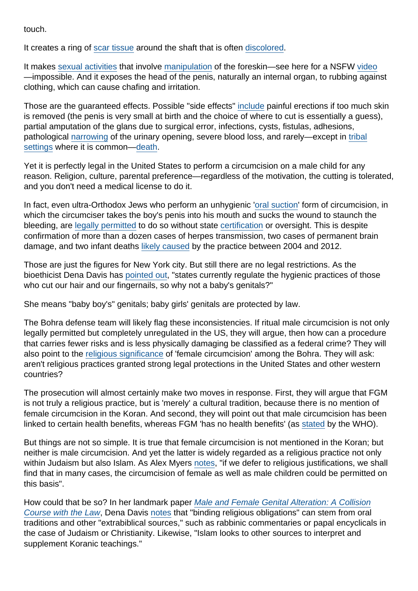touch.

It creates a ring of [scar tissue](https://en.wikipedia.org/wiki/Circumcision_scar) around the shaft that is often [discolored](http://www.livestrong.com/article/275562-how-to-cover-up-a-circumcision-scar/).

It makes [sexual activities](http://eknygos.lsmuni.lt/springer/59/177-188.pdf) that involve [manipulation](http://journals.sagepub.com/doi/abs/10.1177/1363460702005003003) of the foreskin—see here for a NSFW [video](http://www.circumstitions.com/completeman/sidegif.gif) —impossible. And it exposes the head of the penis, naturally an internal organ, to rubbing against clothing, which can cause chafing and irritation.

Those are the guaranteed effects. Possible "side effects" [include](https://www.ncbi.nlm.nih.gov/pmc/articles/PMC3253617/) painful erections if too much skin is removed (the penis is very small at birth and the choice of where to cut is essentially a guess), partial amputation of the glans due to surgical error, infections, cysts, fistulas, adhesions, pathological [narrowing](http://www.sciencedirect.com/science/article/pii/S1479666X16301792) of the urinary opening, severe blood loss, and rarely—except in [tribal](http://ulwaluko.co.za/) [settings](http://ulwaluko.co.za/) where it is common[—death](http://www.cbsnews.com/news/in-south-africa-circumcision-ritual-becomes-health-crisis/).

Yet it is perfectly legal in the United States to perform a circumcision on a male child for any reason. Religion, culture, parental preference—regardless of the motivation, the cutting is tolerated, and you don't need a medical license to do it.

In fact, even ultra-Orthodox Jews who perform an unhygienic '[oral suction](https://www.google.com/url?sa=t&rct=j&q=&esrc=s&source=web&cd=14&ved=0ahUKEwjljM_U8JvVAhUL_WMKHVP8CyYQFgh2MA0&url=http://jewishweek.timesofisrael.com/time-for-orthodox-jews-to-decry-metzitzah-bpeh/&usg=AFQjCNE7_5O_gTt9GgJBVXbSlMB9PG83BQ)' form of circumcision, in which the circumciser takes the boy's penis into his mouth and sucks the wound to staunch the bleeding, are [legally permitted](http://www.thedailybeast.com/ban-the-ritual-that-can-kill-jewish-newborns) to do so without state [certification](http://jme.bmj.com/content/39/7/456) or oversight. This is despite confirmation of more than a dozen cases of herpes transmission, two cases of permanent brain damage, and two infant deaths [likely caused](https://www.cdc.gov/mmwr/preview/mmwrhtml/mm6122a2.htm?s_cid=mm6122a2_e) by the practice between 2004 and 2012.

Those are just the figures for New York city. But still there are no legal restrictions. As the bioethicist Dena Davis has [pointed out](https://muse.jhu.edu/article/44126/summary), "states currently regulate the hygienic practices of those who cut our hair and our fingernails, so why not a baby's genitals?"

She means "baby boy's" genitals; baby girls' genitals are protected by law.

The Bohra defense team will likely flag these inconsistencies. If ritual male circumcision is not only legally permitted but completely unregulated in the US, they will argue, then how can a procedure that carries fewer risks and is less physically damaging be classified as a federal crime? They will also point to the [religious significance](https://www.washingtonpost.com/news/volokh-conspiracy/wp/2017/05/23/religious-exemptions-and-the-detroit-female-genital-mutilation-prosecution/?utm_term=.22f67e3b71c7) of 'female circumcision' among the Bohra. They will ask: aren't religious practices granted strong legal protections in the United States and other western countries?

The prosecution will almost certainly make two moves in response. First, they will argue that FGM is not truly a religious practice, but is 'merely' a cultural tradition, because there is no mention of female circumcision in the Koran. And second, they will point out that male circumcision has been linked to certain health benefits, whereas FGM 'has no health benefits' (as [stated](http://who.int/reproductivehealth/topics/fgm/en/) by the WHO).

But things are not so simple. It is true that female circumcision is not mentioned in the Koran; but neither is male circumcision. And yet the latter is widely regarded as a religious practice not only within Judaism but also Islam. As Alex Myers [notes](http://www.tandfonline.com/doi/abs/10.1080/15265161.2014.990166?journalCode=uajb20), "if we defer to religious justifications, we shall find that in many cases, the circumcision of female as well as male children could be permitted on this basis".

How could that be so? In her landmark paper [Male and Female Genital Alteration: A Collision](http://www.cirp.org/library/legal/davis1/) [Course with the Law,](http://www.cirp.org/library/legal/davis1/) Dena Davis [notes](http://www.cirp.org/library/legal/davis1/) that "binding religious obligations" can stem from oral traditions and other "extrabiblical sources," such as rabbinic commentaries or papal encyclicals in the case of Judaism or Christianity. Likewise, "Islam looks to other sources to interpret and supplement Koranic teachings."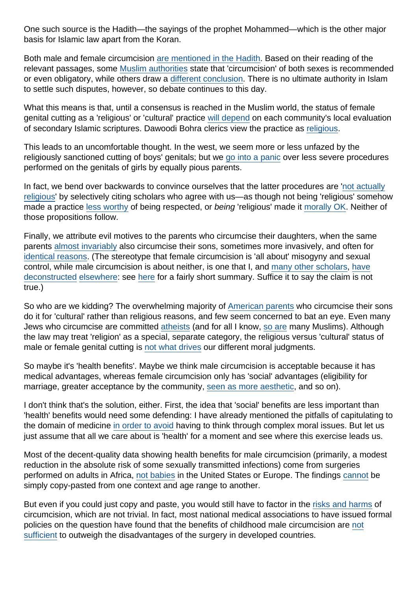One such source is the Hadith—the sayings of the prophet Mohammed—which is the other major basis for Islamic law apart from the Koran.

Both male and female circumcision [are mentioned in the Hadith.](http://heinonline.org/HOL/LandingPage?handle=hein.journals/twls1994&div=9&id=&page=) Based on their reading of the relevant passages, some [Muslim authorities](https://islamqa.info/en/60314) state that 'circumcision' of both sexes is recommended or even obligatory, while others draw a [different conclusion](http://theislamicmonthly.com/a-tiny-cut-female-circumcision-in-south-east-asia/). There is no ultimate authority in Islam to settle such disputes, however, so debate continues to this day.

What this means is that, until a consensus is reached in the Muslim world, the status of female genital cutting as a 'religious' or 'cultural' practice [will depend](https://www.researchgate.net/publication/316505694_Reason_and_paradox_in_medical_and_family_law_Shaping_children) on each community's local evaluation of secondary Islamic scriptures. Dawoodi Bohra clerics view the practice as [religious](http://www.independent.co.uk/news/world/americas/female-genital-mutilation-religious-right-us-first-case-fgm-detriot-michigan-a7748736.html).

This leads to an uncomfortable thought. In the west, we seem more or less unfazed by the religiously sanctioned cutting of boys' genitals; but we [go into a panic](http://mobile.wnd.com/2017/07/horror-hollywood-starlet-pleads-for-ban-on-mutilation-of-girls/) over less severe procedures performed on the genitals of girls by equally pious parents.

In fact, we bend over backwards to convince ourselves that the latter procedures are '[not actually](http://www.dofeve.org/religion-and-fgm.html) [religious](http://www.dofeve.org/religion-and-fgm.html)' by selectively citing scholars who agree with us—as though not being 'religious' somehow made a practice [less worthy](https://www.researchgate.net/publication/316505694_Reason_and_paradox_in_medical_and_family_law_Shaping_children) of being respected, or being 'religious' made it [morally OK.](https://www.academia.edu/2589570/Criticising_religious_practices) Neither of those propositions follow.

Finally, we attribute evil motives to the parents who circumcise their daughters, when the same parents [almost invariably](http://onlinelibrary.wiley.com/doi/10.1002/hast.81/abstract) also circumcise their sons, sometimes more invasively, and often for [identical reasons](http://www.dovepress.com/). (The stereotype that female circumcision is 'all about' misogyny and sexual control, while male circumcision is about neither, is one that I, and [many other scholars,](http://onlinelibrary.wiley.com/doi/10.1002/hast.81/full) [have](https://www.researchgate.net/publication/280080464_Between_moral_relativism_and_moral_hypocrisy_Reframing_the_debate_on_FGM) [deconstructed](https://www.researchgate.net/publication/316505694_Reason_and_paradox_in_medical_and_family_law_Shaping_children) [elsewhere](https://www.dovepress.com/female-genital-mutilation-and-male-circumcision-toward-an-autonomy-bas-peer-reviewed-article-MB): see [here](http://euromind.global/en/brian-d-earp-and-rebecca-steinfeld/) for a fairly short summary. Suffice it to say the claim is not true.)

So who are we kidding? The overwhelming majority of [American parents](http://www.cirp.org/library/general/wallerstein/) who circumcise their sons do it for 'cultural' rather than religious reasons, and few seem concerned to bat an eye. Even many Jews who circumcise are committed [atheists](http://www.pewforum.org/2013/10/01/jewish-american-beliefs-attitudes-culture-survey/) (and for all I know, [so are](https://en.wikipedia.org/wiki/List_of_former_Muslims#Became_atheists) many Muslims). Although the law may treat 'religion' as a special, separate category, the religious versus 'cultural' status of male or female genital cutting is [not what drives](https://www.researchgate.net/publication/316505694_Reason_and_paradox_in_medical_and_family_law_Shaping_children) our different moral judgments.

So maybe it's 'health benefits'. Maybe we think male circumcision is acceptable because it has medical advantages, whereas female circumcision only has 'social' advantages (eligibility for marriage, greater acceptance by the community, [seen as more aesthetic,](https://humdev.uchicago.edu/sites/humdev.uchicago.edu/files/uploads/shweder/Disputing The Myth of the sexual dysfunction of cicumcised women.pdf) and so on).

I don't think that's the solution, either. First, the idea that 'social' benefits are less important than 'health' benefits would need some defending: I have already mentioned the pitfalls of capitulating to the domain of medicine [in order to avoid](http://jme.bmj.com/content/41/1/28) having to think through complex moral issues. But let us just assume that all we care about is 'health' for a moment and see where this exercise leads us.

Most of the decent-quality data showing health benefits for male circumcision (primarily, a modest reduction in the absolute risk of some sexually transmitted infections) come from surgeries performed on adults in Africa, [not babies](http://onlinelibrary.wiley.com/doi/10.1111/jsm.12703/abstract) in the United States or Europe. The findings [cannot](http://www.tandfonline.com/doi/full/10.1080/17441692.2016.1184292) be simply copy-pasted from one context and age range to another.

But even if you could just copy and paste, you would still have to factor in the [risks and harms](https://kiej.georgetown.edu/wordpress/wp-content/uploads/2015/03/03_25.1darby.pdf) of circumcision, which are not trivial. In fact, most national medical associations to have issued formal policies on the question have found that the benefits of childhood male circumcision are [not](http://pediatrics.aappublications.org/content/early/2013/03/12/peds.2012-2896) [sufficient](http://pediatrics.aappublications.org/content/early/2013/03/12/peds.2012-2896) to outweigh the disadvantages of the surgery in developed countries.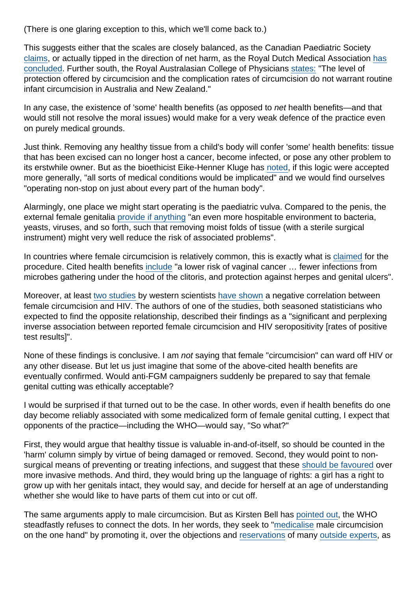(There is one glaring exception to this, which we'll come back to.)

This suggests either that the scales are closely balanced, as the Canadian Paediatric Society [claims](http://www.cps.ca/documents/position/circumcision), or actually tipped in the direction of net harm, as the Royal Dutch Medical Association [has](http://www.circumstitions.com/Docs/KNMG-policy.pdf) [concluded.](http://www.circumstitions.com/Docs/KNMG-policy.pdf) Further south, the Royal Australasian College of Physicians [states:](https://www.racp.edu.au/docs/default-source/advocacy-library/circumcision-of-infant-males.pdf) "The level of protection offered by circumcision and the complication rates of circumcision do not warrant routine infant circumcision in Australia and New Zealand."

In any case, the existence of 'some' health benefits (as opposed to net health benefits—and that would still not resolve the moral issues) would make for a very weak defence of the practice even on purely medical grounds.

Just think. Removing any healthy tissue from a child's body will confer 'some' health benefits: tissue that has been excised can no longer host a cancer, become infected, or pose any other problem to its erstwhile owner. But as the bioethicist Eike-Henner Kluge has [noted](https://www.ncbi.nlm.nih.gov/pmc/articles/PMC1336952/), if this logic were accepted more generally, "all sorts of medical conditions would be implicated" and we would find ourselves "operating non-stop on just about every part of the human body".

Alarmingly, one place we might start operating is the paediatric vulva. Compared to the penis, the external female genitalia [provide if anything](https://www.researchgate.net/publication/316505694_Reason_and_paradox_in_medical_and_family_law_Shaping_children) "an even more hospitable environment to bacteria, yeasts, viruses, and so forth, such that removing moist folds of tissue (with a sterile surgical instrument) might very well reduce the risk of associated problems".

In countries where female circumcision is relatively common, this is exactly what is [claimed](https://islamqa.info/en/45528) for the procedure. Cited health benefits [include](http://onlinelibrary.wiley.com/doi/10.1525/maq.2007.21.3.301/abstract) "a lower risk of vaginal cancer … fewer infections from microbes gathering under the hood of the clitoris, and protection against herpes and genital ulcers".

Moreover, at least [two studies](http://scholarworks.gsu.edu/cgi/viewcontent.cgi?article=1113&context=iph_theses) by western scientists [have shown](https://www.researchgate.net/publication/265824402_Female_Circumcision_and_HIV_Infection_in_Tanzania_for_Better_or_for_Worse) a negative correlation between female circumcision and HIV. The authors of one of the studies, both seasoned statisticians who expected to find the opposite relationship, described their findings as a "significant and perplexing inverse association between reported female circumcision and HIV seropositivity [rates of positive test results]".

None of these findings is conclusive. I am not saying that female "circumcision" can ward off HIV or any other disease. But let us just imagine that some of the above-cited health benefits are eventually confirmed. Would anti-FGM campaigners suddenly be prepared to say that female genital cutting was ethically acceptable?

I would be surprised if that turned out to be the case. In other words, even if health benefits do one day become reliably associated with some medicalized form of female genital cutting, I expect that opponents of the practice—including the WHO—would say, "So what?"

First, they would argue that healthy tissue is valuable in-and-of-itself, so should be counted in the 'harm' column simply by virtue of being damaged or removed. Second, they would point to nonsurgical means of preventing or treating infections, and suggest that these [should be favoured](http://www.cirp.org/library/ethics/hodges3/) over more invasive methods. And third, they would bring up the language of rights: a girl has a right to grow up with her genitals intact, they would say, and decide for herself at an age of understanding whether she would like to have parts of them cut into or cut off.

The same arguments apply to male circumcision. But as Kirsten Bell has [pointed out,](http://www.cirp.org/library/anthropology/bell1/) the WHO steadfastly refuses to connect the dots. In her words, they seek to ["medicalise](https://open.library.ubc.ca/cIRcle/collections/facultyresearchandpublications/52383/items/1.0221481) male circumcision on the one hand" by promoting it, over the objections and [reservations](https://www.ncbi.nlm.nih.gov/pubmed/25646671) of many [outside experts](https://link.springer.com/chapter/10.1007/978-90-481-9446-9_4), as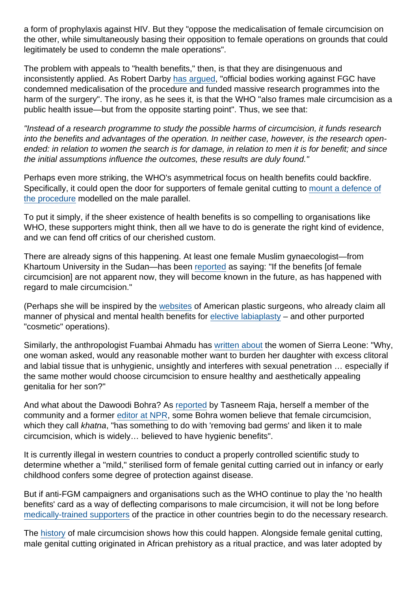a form of prophylaxis against HIV. But they "oppose the medicalisation of female circumcision on the other, while simultaneously basing their opposition to female operations on grounds that could legitimately be used to condemn the male operations".

The problem with appeals to "health benefits," then, is that they are disingenuous and inconsistently applied. As Robert Darby [has argued,](https://muse.jhu.edu/article/627257) "official bodies working against FGC have condemned medicalisation of the procedure and funded massive research programmes into the harm of the surgery". The irony, as he sees it, is that the WHO "also frames male circumcision as a public health issue—but from the opposite starting point". Thus, we see that:

"Instead of a research programme to study the possible harms of circumcision, it funds research into the benefits and advantages of the operation. In neither case, however, is the research openended: in relation to women the search is for damage, in relation to men it is for benefit; and since the initial assumptions influence the outcomes, these results are duly found."

Perhaps even more striking, the WHO's asymmetrical focus on health benefits could backfire. Specifically, it could open the door for supporters of female genital cutting to [mount a defence of](http://www.thesierraleonetelegraph.com/?p=13572) [the procedure](http://www.thesierraleonetelegraph.com/?p=13572) modelled on the male parallel.

To put it simply, if the sheer existence of health benefits is so compelling to organisations like WHO, these supporters might think, then all we have to do is generate the right kind of evidence, and we can fend off critics of our cherished custom.

There are already signs of this happening. At least one female Muslim gynaecologist—from Khartoum University in the Sudan—has been [reported](https://islamqa.info/en/45528) as saying: "If the benefits [of female circumcision] are not apparent now, they will become known in the future, as has happened with regard to male circumcision."

(Perhaps she will be inspired by the [websites](https://www.davidghozland.com/benefits-labiaplasty/) of American plastic surgeons, who already claim all manner of physical and mental health benefits for [elective labiaplasty](http://bmjopen.bmj.com/content/2/6/e001908.full) – and other purported "cosmetic" operations).

Similarly, the anthropologist Fuambai Ahmadu has [written about](https://humdev.uchicago.edu/sites/humdev.uchicago.edu/files/uploads/shweder/Disputing The Myth of the sexual dysfunction of cicumcised women.pdf) the women of Sierra Leone: "Why, one woman asked, would any reasonable mother want to burden her daughter with excess clitoral and labial tissue that is unhygienic, unsightly and interferes with sexual penetration … especially if the same mother would choose circumcision to ensure healthy and aesthetically appealing genitalia for her son?"

And what about the Dawoodi Bohra? As [reported](http://www.motherjones.com/politics/2017/04/genital-cutting-indian-doctor-women-khatna/) by Tasneem Raja, herself a member of the community and a former [editor at NPR,](http://www.npr.org/2017/04/24/525441611/writer-recalls-undergoing-female-genital-mutilation-in-the-u-s) some Bohra women believe that female circumcision, which they call khatna, "has something to do with 'removing bad germs' and liken it to male circumcision, which is widely… believed to have hygienic benefits".

It is currently illegal in western countries to conduct a properly controlled scientific study to determine whether a "mild," sterilised form of female genital cutting carried out in infancy or early childhood confers some degree of protection against disease.

But if anti-FGM campaigners and organisations such as the WHO continue to play the 'no health benefits' card as a way of deflecting comparisons to male circumcision, it will not be long before [medically-trained supporters](http://umatia.org/2011/safecircumcision.html) of the practice in other countries begin to do the necessary research.

The [history](https://www.amazon.com/Surgical-Temptation-Demonization-Foreskin-Circumcision/dp/0226136450) of male circumcision shows how this could happen. Alongside female genital cutting, male genital cutting originated in African prehistory as a ritual practice, and was later adopted by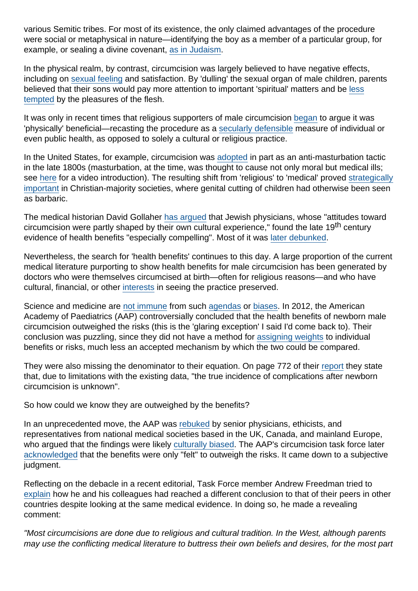various Semitic tribes. For most of its existence, the only claimed advantages of the procedure were social or metaphysical in nature—identifying the boy as a member of a particular group, for example, or sealing a divine covenant, [as in Judaism.](http://www.cirp.org/pages/cultural/kimmel1/)

In the physical realm, by contrast, circumcision was largely believed to have negative effects, including on [sexual feeling](http://onlinelibrary.wiley.com/doi/10.1002/tre.531/abstract) and satisfaction. By 'dulling' the sexual organ of male children, parents believed that their sons would pay more attention to important 'spiritual' matters and be [less](http://www.cirp.org/library/cultural/maimonides/) [tempted](http://www.cirp.org/library/cultural/maimonides/) by the pleasures of the flesh.

It was only in recent times that religious supporters of male circumcision [began](http://www.cirp.org/library/history/gollaher/) to argue it was 'physically' beneficial—recasting the procedure as a [secularly defensible](https://www.smj.org.sa/index.php/smj/article/view/smj.2017.2.18065/10051) measure of individual or even public health, as opposed to solely a cultural or religious practice.

In the United States, for example, circumcision was [adopted](https://link.springer.com/chapter/10.1007/978-1-4757-2679-4_2) in part as an anti-masturbation tactic in the late 1800s (masturbation, at the time, was thought to cause not only moral but medical ills; see [here](https://www.google.com/url?sa=t&rct=j&q=&esrc=s&source=web&cd=1&ved=0ahUKEwjGuYLbp87VAhWBfCYKHbMNB84QyCkIKjAA&url=https://www.youtube.com/watch?v=gCSWbTv3hng&usg=AFQjCNE49cTYwPBNySW5XCRtLMBF0nBs2A) for a video introduction). The resulting shift from 'religious' to 'medical' proved [strategically](https://networks.h-net.org/node/6056/reviews/7138/wentzell-glick-marked-your-flesh-circumcision-ancient-judea-modern) [important](https://networks.h-net.org/node/6056/reviews/7138/wentzell-glick-marked-your-flesh-circumcision-ancient-judea-modern) in Christian-majority societies, where genital cutting of children had otherwise been seen as barbaric.

The medical historian David Gollaher [has argued](http://www.cirp.org/library/history/gollaher/) that Jewish physicians, whose "attitudes toward circumcision were partly shaped by their own cultural experience," found the late 19<sup>th</sup> century evidence of health benefits "especially compelling". Most of it was [later debunked.](http://www.tandfonline.com/doi/abs/10.1016/S0968-8080(07)29303-6)

Nevertheless, the search for 'health benefits' continues to this day. A large proportion of the current medical literature purporting to show health benefits for male circumcision has been generated by doctors who were themselves circumcised at birth—often for religious reasons—and who have cultural, financial, or other [interests](https://www.researchgate.net/publication/316527603_Cultural_bias_in_American_medicine_The_case_of_infant_male_circumcision) in seeing the practice preserved.

Science and medicine are [not immune](http://quillette.com/2016/02/15/the-unbearable-asymmetry-of-bullshit/) from such [agendas](https://www.academia.edu/6991840/the_aMeriCan_aCadeMy_of_PediatriCs_and_feMale_genital_Cutting_When_national_organizations_are_guided_by_Personal_agendas) or [biases.](https://www.researchgate.net/publication/316527603_Cultural_bias_in_American_medicine_The_case_of_infant_male_circumcision) In 2012, the American Academy of Paediatrics (AAP) controversially concluded that the health benefits of newborn male circumcision outweighed the risks (this is the 'glaring exception' I said I'd come back to). Their conclusion was puzzling, since they did not have a method for [assigning weights](https://www.researchgate.net/publication/316527603_Cultural_bias_in_American_medicine_The_case_of_infant_male_circumcision) to individual benefits or risks, much less an accepted mechanism by which the two could be compared.

They were also missing the denominator to their equation. On page 772 of their [report](http://pediatrics.aappublications.org/content/130/3/e756) they state that, due to limitations with the existing data, "the true incidence of complications after newborn circumcision is unknown".

So how could we know they are outweighed by the benefits?

In an unprecedented move, the AAP was [rebuked](http://pediatrics.aappublications.org/content/early/2013/03/12/peds.2012-2896) by senior physicians, ethicists, and representatives from national medical societies based in the UK, Canada, and mainland Europe, who argued that the findings were likely [culturally biased](https://www.researchgate.net/publication/316527603_Cultural_bias_in_American_medicine_The_case_of_infant_male_circumcision). The AAP's circumcision task force later [acknowledged](http://jme.bmj.com/content/early/2013/03/18/medethics-2013-101456) that the benefits were only "felt" to outweigh the risks. It came down to a subjective judgment.

Reflecting on the debacle in a recent editorial, Task Force member Andrew Freedman tried to [explain](http://pediatrics.aappublications.org/content/pediatrics/early/2016/04/04/peds.2016-0594.full.pdf) how he and his colleagues had reached a different conclusion to that of their peers in other countries despite looking at the same medical evidence. In doing so, he made a revealing comment:

"Most circumcisions are done due to religious and cultural tradition. In the West, although parents may use the conflicting medical literature to buttress their own beliefs and desires, for the most part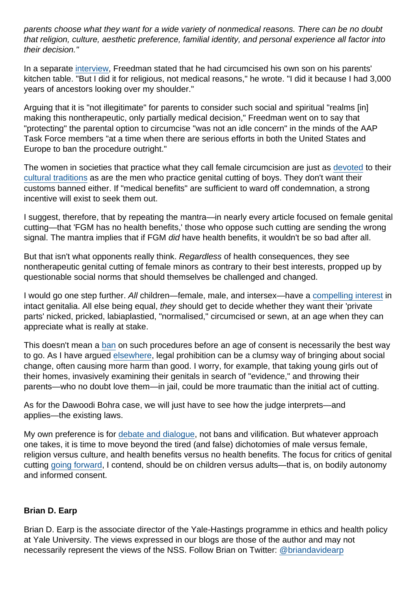parents choose what they want for a wide variety of nonmedical reasons. There can be no doubt that religion, culture, aesthetic preference, familial identity, and personal experience all factor into their decision."

In a separate [interview,](http://jewishweek.timesofisrael.com/fleshing-out-change-on-circumcision/) Freedman stated that he had circumcised his own son on his parents' kitchen table. "But I did it for religious, not medical reasons," he wrote. "I did it because I had 3,000 years of ancestors looking over my shoulder."

Arguing that it is "not illegitimate" for parents to consider such social and spiritual "realms [in] making this nontherapeutic, only partially medical decision," Freedman went on to say that "protecting" the parental option to circumcise "was not an idle concern" in the minds of the AAP Task Force members "at a time when there are serious efforts in both the United States and Europe to ban the procedure outright."

The women in societies that practice what they call female circumcision are just as [devoted](http://www.truthdig.com/report/page3/20090702_designer_vaginas_is_female_circumcision_coming_out_of_the_closet) to their [cultural traditions](https://www.sfog.se/media/295486/omskarelse_rapport.pdf) as are the men who practice genital cutting of boys. They don't want their customs banned either. If "medical benefits" are sufficient to ward off condemnation, a strong incentive will exist to seek them out.

I suggest, therefore, that by repeating the mantra—in nearly every article focused on female genital cutting—that 'FGM has no health benefits,' those who oppose such cutting are sending the wrong signal. The mantra implies that if FGM did have health benefits, it wouldn't be so bad after all.

But that isn't what opponents really think. Regardless of health consequences, they see nontherapeutic genital cutting of female minors as contrary to their best interests, propped up by questionable social norms that should themselves be challenged and changed.

I would go one step further. All children—female, male, and intersex—have a [compelling interest](http://www.tandfonline.com/doi/abs/10.1080/23269995.2013.804757) in intact genitalia. All else being equal, they should get to decide whether they want their 'private parts' nicked, pricked, labiaplastied, "normalised," circumcised or sewn, at an age when they can appreciate what is really at stake.

This doesn't mean a [ban](http://jme.bmj.com/content/39/7/459) on such procedures before an age of consent is necessarily the best way to go. As I have argued [elsewhere](http://blog.practicalethics.ox.ac.uk/2014/03/things-ive-learned-so-far-about-how-to-do-practical-ethics/), legal prohibition can be a clumsy way of bringing about social change, often causing more harm than good. I worry, for example, that taking young girls out of their homes, invasively examining their genitals in search of "evidence," and throwing their parents—who no doubt love them—in jail, could be more traumatic than the initial act of cutting.

As for the Dawoodi Bohra case, we will just have to see how the judge interprets—and applies—the existing laws.

My own preference is for [debate and dialogue](https://www.academia.edu/5790352/Assessing_a_religious_practice_from_secular-ethical_grounds_Competing_meta-ethics_in_the_circumcision_debate_and_a_note_about_respect), not bans and vilification. But whatever approach one takes, it is time to move beyond the tired (and false) dichotomies of male versus female, religion versus culture, and health benefits versus no health benefits. The focus for critics of genital cutting [going forward](http://euromind.global/en/brian-d-earp-and-rebecca-steinfeld/), I contend, should be on children versus adults—that is, on bodily autonomy and informed consent.

### Brian D. Earp

Brian D. Earp is the associate director of the Yale-Hastings programme in ethics and health policy at Yale University. The views expressed in our blogs are those of the author and may not necessarily represent the views of the NSS. Follow Brian on Twitter: [@briandavidearp](https://twitter.com/briandavidearp)